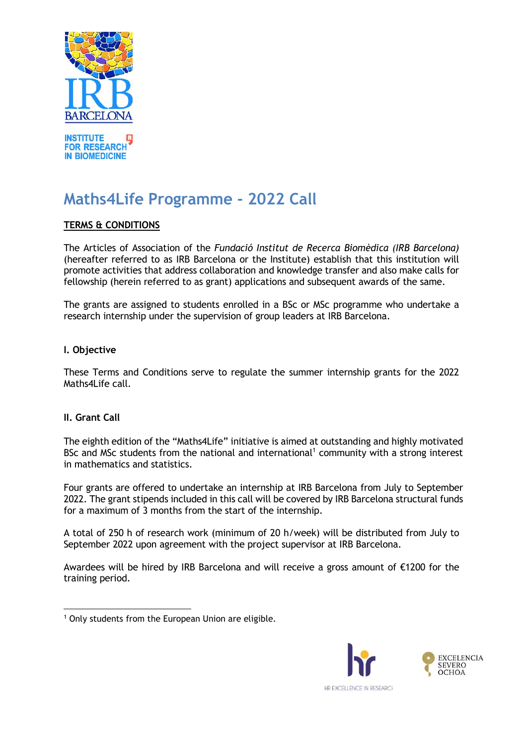

# **Maths4Life Programme - 2022 Call**

## **TERMS & CONDITIONS**

The Articles of Association of the *Fundació Institut de Recerca Biomèdica (IRB Barcelona)* (hereafter referred to as IRB Barcelona or the Institute) establish that this institution will promote activities that address collaboration and knowledge transfer and also make calls for fellowship (herein referred to as grant) applications and subsequent awards of the same.

The grants are assigned to students enrolled in a BSc or MSc programme who undertake a research internship under the supervision of group leaders at IRB Barcelona.

#### **I. Objective**

These Terms and Conditions serve to regulate the summer internship grants for the 2022 Maths4Life call.

#### **II. Grant Call**

The eighth edition of the "Maths4Life" initiative is aimed at outstanding and highly motivated BSc and MSc students from the national and international<sup>1</sup> community with a strong interest in mathematics and statistics.

Four grants are offered to undertake an internship at IRB Barcelona from July to September 2022. The grant stipends included in this call will be covered by IRB Barcelona structural funds for a maximum of 3 months from the start of the internship.

A total of 250 h of research work (minimum of 20 h/week) will be distributed from July to September 2022 upon agreement with the project supervisor at IRB Barcelona.

Awardees will be hired by IRB Barcelona and will receive a gross amount of €1200 for the training period.



 $1$  Only students from the European Union are eligible.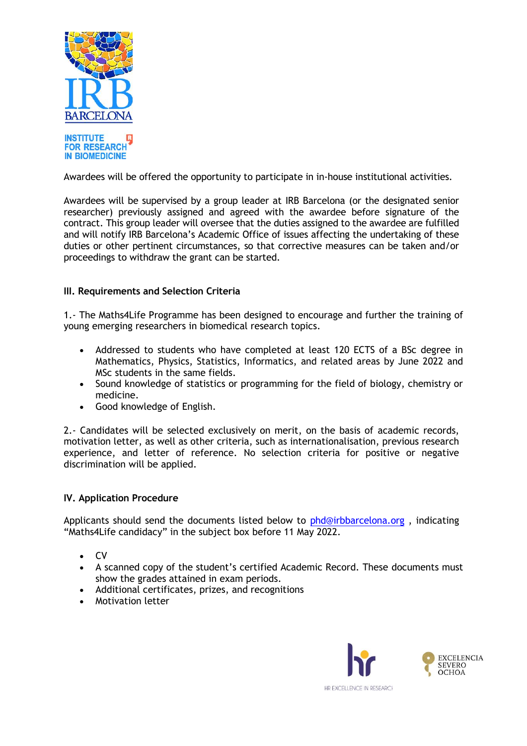

Awardees will be offered the opportunity to participate in in-house institutional activities.

Awardees will be supervised by a group leader at IRB Barcelona (or the designated senior researcher) previously assigned and agreed with the awardee before signature of the contract. This group leader will oversee that the duties assigned to the awardee are fulfilled and will notify IRB Barcelona's Academic Office of issues affecting the undertaking of these duties or other pertinent circumstances, so that corrective measures can be taken and/or proceedings to withdraw the grant can be started.

#### **III. Requirements and Selection Criteria**

1.- The Maths4Life Programme has been designed to encourage and further the training of young emerging researchers in biomedical research topics.

- Addressed to students who have completed at least 120 ECTS of a BSc degree in Mathematics, Physics, Statistics, Informatics, and related areas by June 2022 and MSc students in the same fields.
- Sound knowledge of statistics or programming for the field of biology, chemistry or medicine.
- Good knowledge of English.

2.- Candidates will be selected exclusively on merit, on the basis of academic records, motivation letter, as well as other criteria, such as internationalisation, previous research experience, and letter of reference. No selection criteria for positive or negative discrimination will be applied.

#### **IV. Application Procedure**

Applicants should send the documents listed below to [phd@irbbarcelona.org](mailto:phd@irbbarcelona.org) , indicating "Maths4Life candidacy" in the subject box before 11 May 2022.

- CV
- A scanned copy of the student's certified Academic Record. These documents must show the grades attained in exam periods.
- Additional certificates, prizes, and recognitions
- Motivation letter

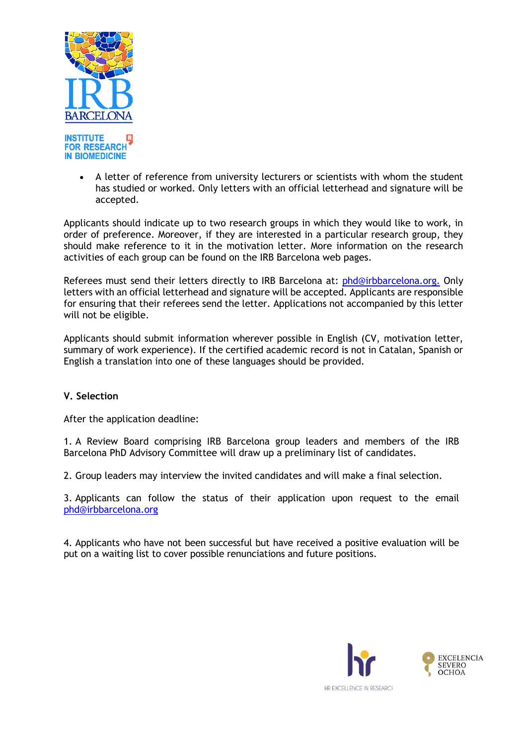

• A letter of reference from university lecturers or scientists with whom the student has studied or worked. Only letters with an official letterhead and signature will be accepted.

Applicants should indicate up to two research groups in which they would like to work, in order of preference. Moreover, if they are interested in a particular research group, they should make reference to it in the motivation letter. More information on the research activities of each group can be found on the IRB Barcelona web pages.

Referees must send their letters directly to IRB Barcelona at: [phd@irbbarcelona.org.](mailto:phd@irbbarcelona.org) Only letters with an official letterhead and signature will be accepted. Applicants are responsible for ensuring that their referees send the letter. Applications not accompanied by this letter will not be eligible.

Applicants should submit information wherever possible in English (CV, motivation letter, summary of work experience). If the certified academic record is not in Catalan, Spanish or English a translation into one of these languages should be provided.

#### **V. Selection**

After the application deadline:

1. A Review Board comprising IRB Barcelona group leaders and members of the IRB Barcelona PhD Advisory Committee will draw up a preliminary list of candidates.

2. Group leaders may interview the invited candidates and will make a final selection.

3. Applicants can follow the status of their application upon request to the email [phd@irbbarcelona.org](mailto:phd@irbbarcelona.org)

4. Applicants who have not been successful but have received a positive evaluation will be put on a waiting list to cover possible renunciations and future positions.

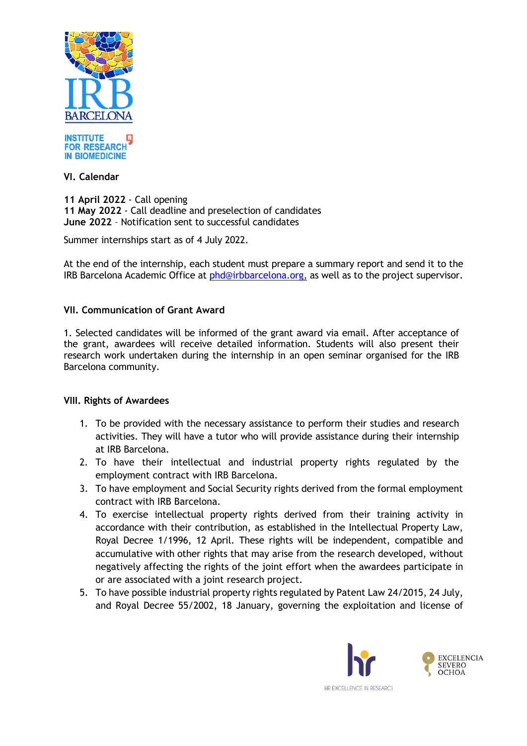



### **VI. Calendar**

**11 April 2022** - Call opening **11 May 2022** - Call deadline and preselection of candidates **June 2022** – Notification sent to successful candidates

Summer internships start as of 4 July 2022.

At the end of the internship, each student must prepare a summary report and send it to the IRB Barcelona Academic Office at [phd@irbbarcelona.org,](mailto:phd@irbbarcelona.org) as well as to the project supervisor.

## **VII. Communication of Grant Award**

1. Selected candidates will be informed of the grant award via email. After acceptance of the grant, awardees will receive detailed information. Students will also present their research work undertaken during the internship in an open seminar organised for the IRB Barcelona community.

#### **VIII. Rights of Awardees**

- 1. To be provided with the necessary assistance to perform their studies and research activities. They will have a tutor who will provide assistance during their internship at IRB Barcelona.
- 2. To have their intellectual and industrial property rights regulated by the employment contract with IRB Barcelona.
- 3. To have employment and Social Security rights derived from the formal employment contract with IRB Barcelona.
- 4. To exercise intellectual property rights derived from their training activity in accordance with their contribution, as established in the Intellectual Property Law, Royal Decree 1/1996, 12 April. These rights will be independent, compatible and accumulative with other rights that may arise from the research developed, without negatively affecting the rights of the joint effort when the awardees participate in or are associated with a joint research project.
- 5. To have possible industrial property rights regulated by Patent Law 24/2015, 24 July, and Royal Decree 55/2002, 18 January, governing the exploitation and license of

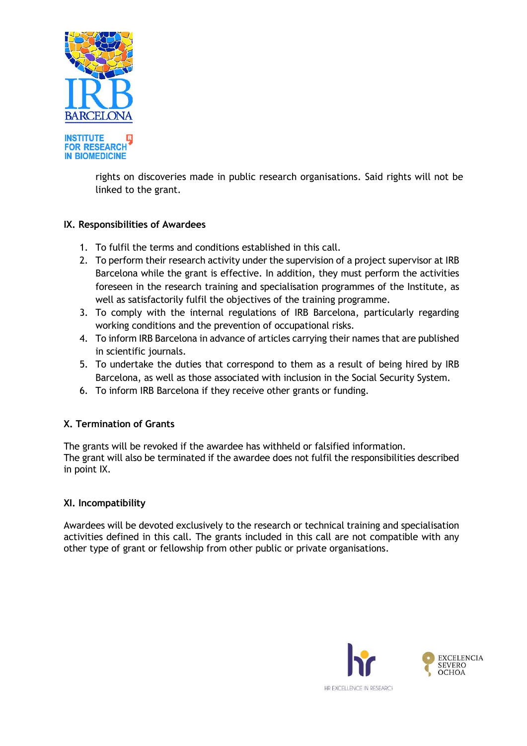

**IN BIOMEDICINE** rights on discoveries made in public research organisations. Said rights will not be

## **IX. Responsibilities of Awardees**

linked to the grant.

- 1. To fulfil the terms and conditions established in this call.
- 2. To perform their research activity under the supervision of a project supervisor at IRB Barcelona while the grant is effective. In addition, they must perform the activities foreseen in the research training and specialisation programmes of the Institute, as well as satisfactorily fulfil the objectives of the training programme.
- 3. To comply with the internal regulations of IRB Barcelona, particularly regarding working conditions and the prevention of occupational risks.
- 4. To inform IRB Barcelona in advance of articles carrying their names that are published in scientific journals.
- 5. To undertake the duties that correspond to them as a result of being hired by IRB Barcelona, as well as those associated with inclusion in the Social Security System.
- 6. To inform IRB Barcelona if they receive other grants or funding.

## **X. Termination of Grants**

The grants will be revoked if the awardee has withheld or falsified information. The grant will also be terminated if the awardee does not fulfil the responsibilities described in point IX.

#### **XI. Incompatibility**

Awardees will be devoted exclusively to the research or technical training and specialisation activities defined in this call. The grants included in this call are not compatible with any other type of grant or fellowship from other public or private organisations.

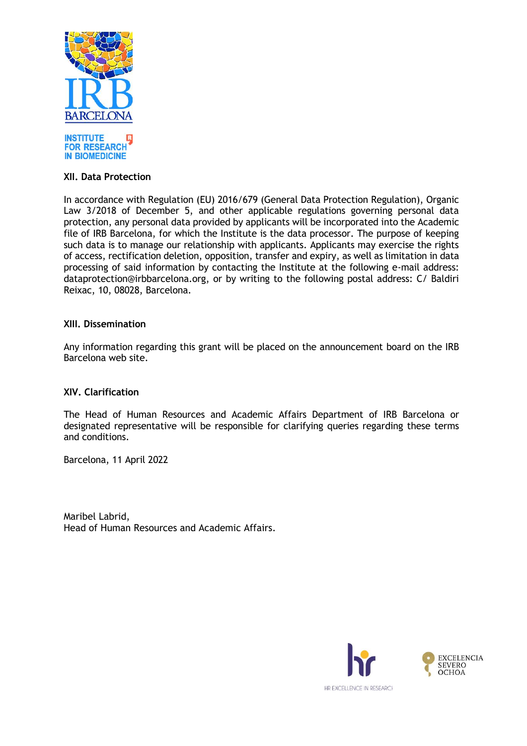

#### **XII. Data Protection**

In accordance with Regulation (EU) 2016/679 (General Data Protection Regulation), Organic Law 3/2018 of December 5, and other applicable regulations governing personal data protection, any personal data provided by applicants will be incorporated into the Academic file of IRB Barcelona, for which the Institute is the data processor. The purpose of keeping such data is to manage our relationship with applicants. Applicants may exercise the rights of access, rectification deletion, opposition, transfer and expiry, as well as limitation in data processing of said information by contacting the Institute at the following e-mail address: dataprotection@irbbarcelona.org, or by writing to the following postal address: C/ Baldiri Reixac, 10, 08028, Barcelona.

#### **XIII. Dissemination**

Any information regarding this grant will be placed on the announcement board on the IRB Barcelona web site.

#### **XIV. Clarification**

The Head of Human Resources and Academic Affairs Department of IRB Barcelona or designated representative will be responsible for clarifying queries regarding these terms and conditions.

Barcelona, 11 April 2022

Maribel Labrid, Head of Human Resources and Academic Affairs.